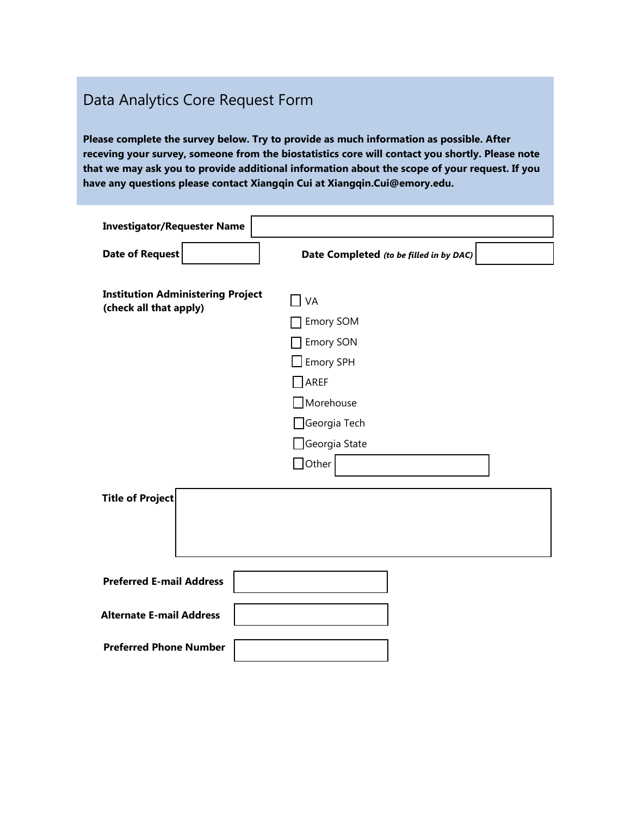## Data Analytics Core Request Form

**Please complete the survey below. Try to provide as much information as possible. After receving your survey, someone from the biostatistics core will contact you shortly. Please note that we may ask you to provide additional information about the scope of your request. If you have any questions please contact Xiangqin Cui at Xiangqin.Cui@emory.edu.** 

| <b>Investigator/Requester Name</b>                                 |                                                                                                     |
|--------------------------------------------------------------------|-----------------------------------------------------------------------------------------------------|
| <b>Date of Request</b>                                             | Date Completed (to be filled in by DAC)                                                             |
| <b>Institution Administering Project</b><br>(check all that apply) | VA<br>Emory SOM<br><b>Emory SON</b><br>Emory SPH<br>AREF<br>$\Box$ Morehouse<br>$\Box$ Georgia Tech |
|                                                                    | $\Box$ Georgia State<br>$\Box$ Other                                                                |
| <b>Title of Project</b>                                            |                                                                                                     |
| <b>Preferred E-mail Address</b>                                    |                                                                                                     |
| <b>Alternate E-mail Address</b>                                    |                                                                                                     |
| <b>Preferred Phone Number</b>                                      |                                                                                                     |